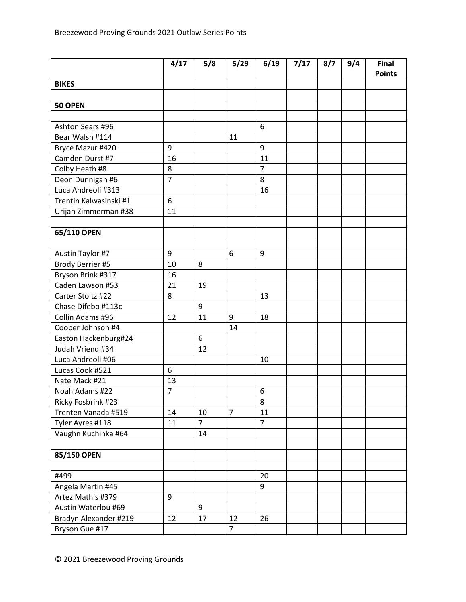|                        | 4/17           | 5/8            | 5/29           | 6/19           | 7/17 | 8/7 | 9/4 | Final         |
|------------------------|----------------|----------------|----------------|----------------|------|-----|-----|---------------|
|                        |                |                |                |                |      |     |     | <b>Points</b> |
| <b>BIKES</b>           |                |                |                |                |      |     |     |               |
| 50 OPEN                |                |                |                |                |      |     |     |               |
|                        |                |                |                |                |      |     |     |               |
| Ashton Sears #96       |                |                |                | 6              |      |     |     |               |
| Bear Walsh #114        |                |                | 11             |                |      |     |     |               |
| Bryce Mazur #420       | 9              |                |                | 9              |      |     |     |               |
| Camden Durst #7        | 16             |                |                | 11             |      |     |     |               |
| Colby Heath #8         | 8              |                |                | $\overline{7}$ |      |     |     |               |
| Deon Dunnigan #6       | $\overline{7}$ |                |                | 8              |      |     |     |               |
| Luca Andreoli #313     |                |                |                | 16             |      |     |     |               |
| Trentin Kalwasinski #1 | 6              |                |                |                |      |     |     |               |
| Urijah Zimmerman #38   | 11             |                |                |                |      |     |     |               |
|                        |                |                |                |                |      |     |     |               |
| 65/110 OPEN            |                |                |                |                |      |     |     |               |
|                        |                |                |                |                |      |     |     |               |
| Austin Taylor #7       | 9              |                | 6              | 9              |      |     |     |               |
| Brody Berrier #5       | 10             | 8              |                |                |      |     |     |               |
| Bryson Brink #317      | 16             |                |                |                |      |     |     |               |
| Caden Lawson #53       | 21             | 19             |                |                |      |     |     |               |
| Carter Stoltz #22      | 8              |                |                | 13             |      |     |     |               |
| Chase Difebo #113c     |                | 9              |                |                |      |     |     |               |
| Collin Adams #96       | 12             | 11             | 9              | 18             |      |     |     |               |
| Cooper Johnson #4      |                |                | 14             |                |      |     |     |               |
| Easton Hackenburg#24   |                | $6\,$          |                |                |      |     |     |               |
| Judah Vriend #34       |                | 12             |                |                |      |     |     |               |
| Luca Andreoli #06      |                |                |                | 10             |      |     |     |               |
| Lucas Cook #521        | 6              |                |                |                |      |     |     |               |
| Nate Mack #21          | 13             |                |                |                |      |     |     |               |
| Noah Adams #22         | $\overline{7}$ |                |                | 6              |      |     |     |               |
| Ricky Fosbrink #23     |                |                |                | 8              |      |     |     |               |
| Trenten Vanada #519    | 14             | 10             | $\overline{7}$ | 11             |      |     |     |               |
| Tyler Ayres #118       | 11             | $\overline{7}$ |                | $\overline{7}$ |      |     |     |               |
| Vaughn Kuchinka #64    |                | 14             |                |                |      |     |     |               |
|                        |                |                |                |                |      |     |     |               |
| 85/150 OPEN            |                |                |                |                |      |     |     |               |
|                        |                |                |                |                |      |     |     |               |
| #499                   |                |                |                | 20             |      |     |     |               |
| Angela Martin #45      |                |                |                | 9              |      |     |     |               |
| Artez Mathis #379      | 9              |                |                |                |      |     |     |               |
| Austin Waterlou #69    |                | 9              |                |                |      |     |     |               |
| Bradyn Alexander #219  | 12             | 17             | 12             | 26             |      |     |     |               |
| Bryson Gue #17         |                |                | $\overline{7}$ |                |      |     |     |               |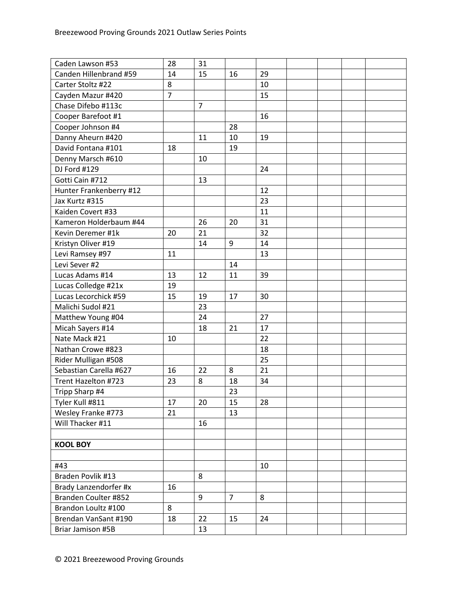| Caden Lawson #53        | 28             | 31             |                |    |  |  |
|-------------------------|----------------|----------------|----------------|----|--|--|
| Canden Hillenbrand #59  | 14             | 15             | 16             | 29 |  |  |
| Carter Stoltz #22       | 8              |                |                | 10 |  |  |
| Cayden Mazur #420       | $\overline{7}$ |                |                | 15 |  |  |
| Chase Difebo #113c      |                | $\overline{7}$ |                |    |  |  |
| Cooper Barefoot #1      |                |                |                | 16 |  |  |
| Cooper Johnson #4       |                |                | 28             |    |  |  |
| Danny Aheurn #420       |                | 11             | 10             | 19 |  |  |
| David Fontana #101      | 18             |                | 19             |    |  |  |
| Denny Marsch #610       |                | 10             |                |    |  |  |
| DJ Ford #129            |                |                |                | 24 |  |  |
| Gotti Cain #712         |                | 13             |                |    |  |  |
| Hunter Frankenberry #12 |                |                |                | 12 |  |  |
| Jax Kurtz #315          |                |                |                | 23 |  |  |
| Kaiden Covert #33       |                |                |                | 11 |  |  |
| Kameron Holderbaum #44  |                | 26             | 20             | 31 |  |  |
| Kevin Deremer #1k       | 20             | 21             |                | 32 |  |  |
| Kristyn Oliver #19      |                | 14             | 9              | 14 |  |  |
| Levi Ramsey #97         | 11             |                |                | 13 |  |  |
| Levi Sever #2           |                |                | 14             |    |  |  |
| Lucas Adams #14         | 13             | 12             | 11             | 39 |  |  |
| Lucas Colledge #21x     | 19             |                |                |    |  |  |
| Lucas Lecorchick #59    | 15             | 19             | 17             | 30 |  |  |
| Malichi Sudol #21       |                | 23             |                |    |  |  |
| Matthew Young #04       |                | 24             |                | 27 |  |  |
| Micah Sayers #14        |                | 18             | 21             | 17 |  |  |
| Nate Mack #21           | 10             |                |                | 22 |  |  |
| Nathan Crowe #823       |                |                |                | 18 |  |  |
| Rider Mulligan #508     |                |                |                | 25 |  |  |
| Sebastian Carella #627  | 16             | 22             | 8              | 21 |  |  |
| Trent Hazelton #723     | 23             | 8              | 18             | 34 |  |  |
| Tripp Sharp #4          |                |                | 23             |    |  |  |
| Tyler Kull #811         | 17             | 20             | 15             | 28 |  |  |
| Wesley Franke #773      | 21             |                | 13             |    |  |  |
| Will Thacker #11        |                | 16             |                |    |  |  |
|                         |                |                |                |    |  |  |
| <b>KOOL BOY</b>         |                |                |                |    |  |  |
|                         |                |                |                |    |  |  |
| #43                     |                |                |                | 10 |  |  |
| Braden Povlik #13       |                | 8              |                |    |  |  |
| Brady Lanzendorfer #x   | 16             |                |                |    |  |  |
| Branden Coulter #852    |                | 9              | $\overline{7}$ | 8  |  |  |
| Brandon Loultz #100     | 8              |                |                |    |  |  |
| Brendan VanSant #190    | 18             | 22             | 15             | 24 |  |  |
| Briar Jamison #5B       |                | 13             |                |    |  |  |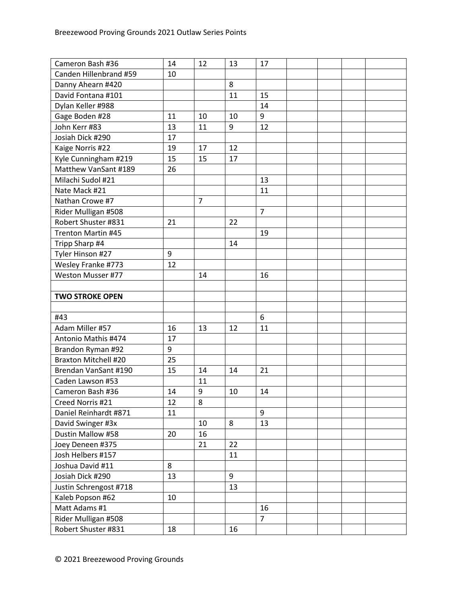| Cameron Bash #36            | 14 | 12             | 13 | 17             |  |  |
|-----------------------------|----|----------------|----|----------------|--|--|
| Canden Hillenbrand #59      | 10 |                |    |                |  |  |
| Danny Ahearn #420           |    |                | 8  |                |  |  |
| David Fontana #101          |    |                | 11 | 15             |  |  |
| Dylan Keller #988           |    |                |    | 14             |  |  |
| Gage Boden #28              | 11 | 10             | 10 | 9              |  |  |
| John Kerr #83               | 13 | 11             | 9  | 12             |  |  |
| Josiah Dick #290            | 17 |                |    |                |  |  |
| Kaige Norris #22            | 19 | 17             | 12 |                |  |  |
| Kyle Cunningham #219        | 15 | 15             | 17 |                |  |  |
| Matthew VanSant #189        | 26 |                |    |                |  |  |
| Milachi Sudol #21           |    |                |    | 13             |  |  |
| Nate Mack #21               |    |                |    | 11             |  |  |
| Nathan Crowe #7             |    | $\overline{7}$ |    |                |  |  |
| Rider Mulligan #508         |    |                |    | $\overline{7}$ |  |  |
| Robert Shuster #831         | 21 |                | 22 |                |  |  |
| <b>Trenton Martin #45</b>   |    |                |    | 19             |  |  |
| Tripp Sharp #4              |    |                | 14 |                |  |  |
| Tyler Hinson #27            | 9  |                |    |                |  |  |
| Wesley Franke #773          | 12 |                |    |                |  |  |
| Weston Musser #77           |    | 14             |    | 16             |  |  |
|                             |    |                |    |                |  |  |
| <b>TWO STROKE OPEN</b>      |    |                |    |                |  |  |
|                             |    |                |    |                |  |  |
| #43                         |    |                |    | 6              |  |  |
| Adam Miller #57             | 16 | 13             | 12 | 11             |  |  |
| Antonio Mathis #474         | 17 |                |    |                |  |  |
| Brandon Ryman #92           | 9  |                |    |                |  |  |
| <b>Braxton Mitchell #20</b> | 25 |                |    |                |  |  |
| Brendan VanSant #190        | 15 | 14             | 14 | 21             |  |  |
| Caden Lawson #53            |    | 11             |    |                |  |  |
| Cameron Bash #36            | 14 | 9              | 10 | 14             |  |  |
| Creed Norris #21            | 12 | 8              |    |                |  |  |
| Daniel Reinhardt #871       | 11 |                |    | 9              |  |  |
| David Swinger #3x           |    | 10             | 8  | 13             |  |  |
| Dustin Mallow #58           | 20 | 16             |    |                |  |  |
| Joey Deneen #375            |    | 21             | 22 |                |  |  |
| Josh Helbers #157           |    |                | 11 |                |  |  |
| Joshua David #11            | 8  |                |    |                |  |  |
| Josiah Dick #290            | 13 |                | 9  |                |  |  |
| Justin Schrengost #718      |    |                | 13 |                |  |  |
| Kaleb Popson #62            | 10 |                |    |                |  |  |
| Matt Adams #1               |    |                |    | 16             |  |  |
| Rider Mulligan #508         |    |                |    | $\overline{7}$ |  |  |
| Robert Shuster #831         | 18 |                | 16 |                |  |  |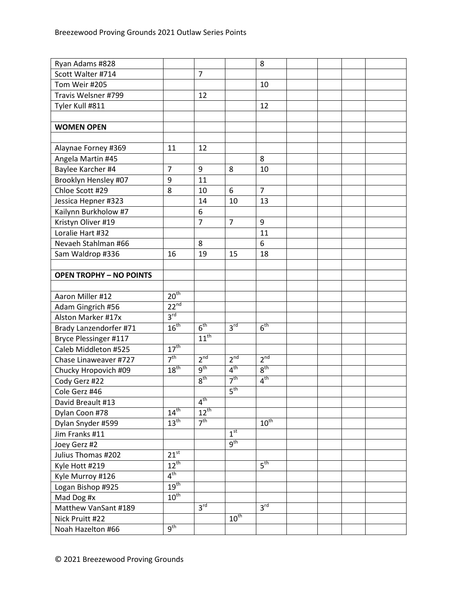| Ryan Adams #828                |                  |                 |                 | 8                |  |  |
|--------------------------------|------------------|-----------------|-----------------|------------------|--|--|
| Scott Walter #714              |                  | $\overline{7}$  |                 |                  |  |  |
| Tom Weir #205                  |                  |                 |                 | 10               |  |  |
| Travis Welsner #799            |                  | 12              |                 |                  |  |  |
| Tyler Kull #811                |                  |                 |                 | 12               |  |  |
|                                |                  |                 |                 |                  |  |  |
| <b>WOMEN OPEN</b>              |                  |                 |                 |                  |  |  |
|                                |                  |                 |                 |                  |  |  |
| Alaynae Forney #369            | 11               | 12              |                 |                  |  |  |
| Angela Martin #45              |                  |                 |                 | 8                |  |  |
| Baylee Karcher #4              | $\overline{7}$   | 9               | 8               | 10               |  |  |
| Brooklyn Hensley #07           | 9                | 11              |                 |                  |  |  |
| Chloe Scott #29                | 8                | 10              | 6               | $\overline{7}$   |  |  |
| Jessica Hepner #323            |                  | 14              | 10              | 13               |  |  |
| Kailynn Burkholow #7           |                  | 6               |                 |                  |  |  |
| Kristyn Oliver #19             |                  | $\overline{7}$  | $\overline{7}$  | 9                |  |  |
| Loralie Hart #32               |                  |                 |                 | 11               |  |  |
| Nevaeh Stahlman #66            |                  | 8               |                 | 6                |  |  |
| Sam Waldrop #336               | 16               | 19              | 15              | 18               |  |  |
|                                |                  |                 |                 |                  |  |  |
| <b>OPEN TROPHY - NO POINTS</b> |                  |                 |                 |                  |  |  |
|                                |                  |                 |                 |                  |  |  |
| Aaron Miller #12               | 20 <sup>th</sup> |                 |                 |                  |  |  |
| Adam Gingrich #56              | $22^{nd}$        |                 |                 |                  |  |  |
| Alston Marker #17x             | 3 <sup>rd</sup>  |                 |                 |                  |  |  |
| Brady Lanzendorfer #71         | $16^{th}$        | 6 <sup>th</sup> | 3 <sup>rd</sup> | 6 <sup>th</sup>  |  |  |
| Bryce Plessinger #117          |                  | $11^{th}$       |                 |                  |  |  |
| Caleb Middleton #525           | $17^{\text{th}}$ |                 |                 |                  |  |  |
| Chase Linaweaver #727          | 7 <sup>th</sup>  | 2 <sup>nd</sup> | 2 <sup>nd</sup> | 2 <sup>nd</sup>  |  |  |
| Chucky Hropovich #09           | 18 <sup>th</sup> | 9 <sup>th</sup> | 4 <sup>th</sup> | 8 <sup>th</sup>  |  |  |
| Cody Gerz #22                  |                  | 8 <sup>th</sup> | 7 <sup>th</sup> | 4 <sup>th</sup>  |  |  |
| Cole Gerz #46                  |                  |                 | 5 <sup>th</sup> |                  |  |  |
| David Breault #13              |                  | 4 <sup>th</sup> |                 |                  |  |  |
| Dylan Coon #78                 | $14^{\text{th}}$ | $12^{th}$       |                 |                  |  |  |
| Dylan Snyder #599              | 13 <sup>th</sup> | 7 <sup>th</sup> |                 | $10^{\text{th}}$ |  |  |
| Jim Franks #11                 |                  |                 | 1 <sup>st</sup> |                  |  |  |
| Joey Gerz #2                   |                  |                 | 9 <sup>th</sup> |                  |  |  |
| Julius Thomas #202             | $21^{st}$        |                 |                 |                  |  |  |
| Kyle Hott #219                 | $12^{\text{th}}$ |                 |                 | 5 <sup>th</sup>  |  |  |
| Kyle Murroy #126               | 4 <sup>th</sup>  |                 |                 |                  |  |  |
| Logan Bishop #925              | 19 <sup>th</sup> |                 |                 |                  |  |  |
| Mad Dog #x                     | $10^{\text{th}}$ |                 |                 |                  |  |  |
| Matthew VanSant #189           |                  | 3 <sup>rd</sup> |                 | 3 <sup>rd</sup>  |  |  |
| Nick Pruitt #22                |                  |                 | $10^{th}$       |                  |  |  |
| Noah Hazelton #66              | $9^{\text{th}}$  |                 |                 |                  |  |  |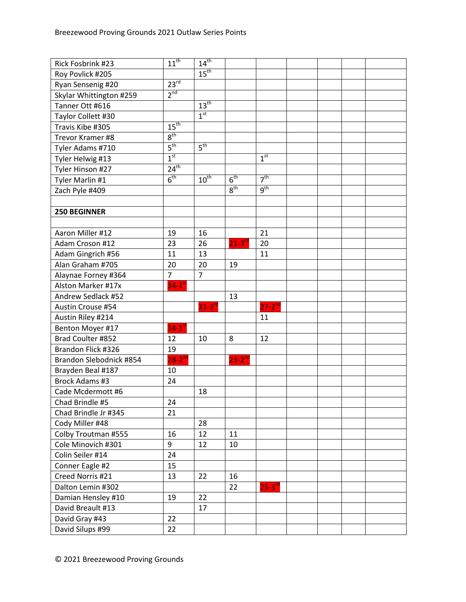| Rick Fosbrink #23       | $11^{th}$            | $14^{th}$            |                       |                 |  |  |
|-------------------------|----------------------|----------------------|-----------------------|-----------------|--|--|
| Roy Povlick #205        |                      | 15 <sup>th</sup>     |                       |                 |  |  |
| Ryan Sensenig #20       | 23 <sup>rd</sup>     |                      |                       |                 |  |  |
| Skylar Whittington #259 | 2 <sup>nd</sup>      |                      |                       |                 |  |  |
| Tanner Ott #616         |                      | $13^{\text{th}}$     |                       |                 |  |  |
| Taylor Collett #30      |                      | 1 <sup>st</sup>      |                       |                 |  |  |
| Travis Kibe #305        | 15 <sup>th</sup>     |                      |                       |                 |  |  |
| Trevor Kramer #8        | 8 <sup>th</sup>      |                      |                       |                 |  |  |
| Tyler Adams #710        | 5 <sup>th</sup>      | 5 <sup>th</sup>      |                       |                 |  |  |
| Tyler Helwig #13        | 1 <sup>st</sup>      |                      |                       | 1 <sup>st</sup> |  |  |
| Tyler Hinson #27        | $24^{th}$            |                      |                       |                 |  |  |
| Tyler Marlin #1         | 6 <sup>th</sup>      | $10^{th}$            | 6 <sup>th</sup>       | 7 <sup>th</sup> |  |  |
| Zach Pyle #409          |                      |                      | 8 <sup>th</sup>       | 9 <sup>th</sup> |  |  |
|                         |                      |                      |                       |                 |  |  |
| <b>250 BEGINNER</b>     |                      |                      |                       |                 |  |  |
|                         |                      |                      |                       |                 |  |  |
| Aaron Miller #12        | 19                   | 16                   |                       | 21              |  |  |
| Adam Croson #12         | 23                   | 26                   | $21 - 3$ <sup>r</sup> | 20              |  |  |
| Adam Gingrich #56       | 11                   | 13                   |                       | 11              |  |  |
| Alan Graham #705        | 20                   | 20                   | 19                    |                 |  |  |
| Alaynae Forney #364     | $\overline{7}$       | $\overline{7}$       |                       |                 |  |  |
| Alston Marker #17x      | $34-1$ <sup>st</sup> |                      |                       |                 |  |  |
| Andrew Sedlack #52      |                      |                      | 13                    |                 |  |  |
| Austin Crouse #54       |                      | $31-3$ <sup>rd</sup> |                       | $27 - 2^{nd}$   |  |  |
| Austin Riley #214       |                      |                      |                       | 11              |  |  |
| Benton Moyer #17        | $34-1$ <sup>st</sup> |                      |                       |                 |  |  |
| Brad Coulter #852       | 12                   | 10                   | 8                     | 12              |  |  |
| Brandon Flick #326      | 19                   |                      |                       |                 |  |  |
| Brandon Slebodnick #854 | $28-2^{nd}$          |                      | $23 - 2^{nd}$         |                 |  |  |
| Brayden Beal #187       | 10                   |                      |                       |                 |  |  |
| Brock Adams #3          | 24                   |                      |                       |                 |  |  |
| Cade Mcdermott #6       |                      | 18                   |                       |                 |  |  |
| Chad Brindle #5         | 24                   |                      |                       |                 |  |  |
| Chad Brindle Jr #345    | 21                   |                      |                       |                 |  |  |
| Cody Miller #48         |                      | 28                   |                       |                 |  |  |
| Colby Troutman #555     | 16                   | 12                   | 11                    |                 |  |  |
| Cole Minovich #301      | 9                    | 12                   | 10                    |                 |  |  |
| Colin Seiler #14        | 24                   |                      |                       |                 |  |  |
| Conner Eagle #2         | 15                   |                      |                       |                 |  |  |
| Creed Norris #21        | 13                   | 22                   | 16                    |                 |  |  |
| Dalton Lemin #302       |                      |                      | 22                    | $25 - 3^{rc}$   |  |  |
| Damian Hensley #10      | 19                   | 22                   |                       |                 |  |  |
| David Breault #13       |                      | 17                   |                       |                 |  |  |
| David Gray #43          | 22                   |                      |                       |                 |  |  |
| David Silups #99        | 22                   |                      |                       |                 |  |  |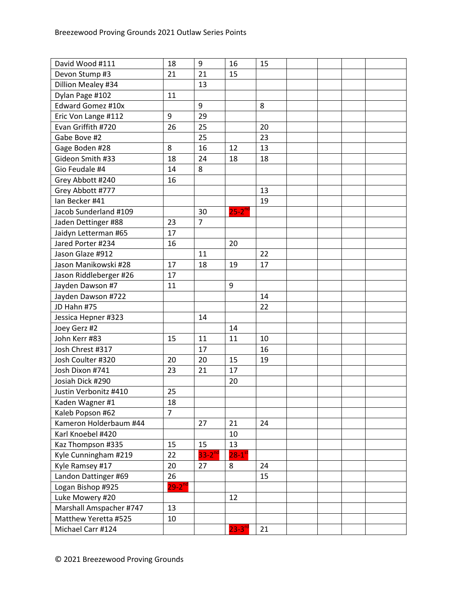| David Wood #111          | 18             | 9                    | 16                     | 15 |  |  |
|--------------------------|----------------|----------------------|------------------------|----|--|--|
| Devon Stump #3           | 21             | 21                   | 15                     |    |  |  |
| Dillion Mealey #34       |                | 13                   |                        |    |  |  |
| Dylan Page #102          | 11             |                      |                        |    |  |  |
| <b>Edward Gomez #10x</b> |                | 9                    |                        | 8  |  |  |
| Eric Von Lange #112      | 9              | 29                   |                        |    |  |  |
| Evan Griffith #720       | 26             | 25                   |                        | 20 |  |  |
| Gabe Bove #2             |                | 25                   |                        | 23 |  |  |
| Gage Boden #28           | 8              | 16                   | 12                     | 13 |  |  |
| Gideon Smith #33         | 18             | 24                   | 18                     | 18 |  |  |
| Gio Feudale #4           | 14             | 8                    |                        |    |  |  |
| Grey Abbott #240         | 16             |                      |                        |    |  |  |
| Grey Abbott #777         |                |                      |                        | 13 |  |  |
| lan Becker #41           |                |                      |                        | 19 |  |  |
| Jacob Sunderland #109    |                | 30                   | $25 - 2^{nd}$          |    |  |  |
| Jaden Dettinger #88      | 23             | $\overline{7}$       |                        |    |  |  |
| Jaidyn Letterman #65     | 17             |                      |                        |    |  |  |
| Jared Porter #234        | 16             |                      | 20                     |    |  |  |
| Jason Glaze #912         |                | 11                   |                        | 22 |  |  |
| Jason Manikowski #28     | 17             | 18                   | 19                     | 17 |  |  |
| Jason Riddleberger #26   | 17             |                      |                        |    |  |  |
| Jayden Dawson #7         | 11             |                      | 9                      |    |  |  |
| Jayden Dawson #722       |                |                      |                        | 14 |  |  |
| JD Hahn #75              |                |                      |                        | 22 |  |  |
| Jessica Hepner #323      |                | 14                   |                        |    |  |  |
| Joey Gerz #2             |                |                      | 14                     |    |  |  |
| John Kerr #83            | 15             | 11                   | 11                     | 10 |  |  |
| Josh Chrest #317         |                | 17                   |                        | 16 |  |  |
| Josh Coulter #320        | 20             | 20                   | 15                     | 19 |  |  |
| Josh Dixon #741          | 23             | 21                   | 17                     |    |  |  |
| Josiah Dick #290         |                |                      | 20                     |    |  |  |
| Justin Verbonitz #410    | 25             |                      |                        |    |  |  |
| Kaden Wagner #1          | 18             |                      |                        |    |  |  |
| Kaleb Popson #62         | $\overline{7}$ |                      |                        |    |  |  |
| Kameron Holderbaum #44   |                | 27                   | 21                     | 24 |  |  |
| Karl Knoebel #420        |                |                      | 10                     |    |  |  |
| Kaz Thompson #335        | 15             | 15                   | 13                     |    |  |  |
| Kyle Cunningham #219     | 22             | $33-2$ <sup>nd</sup> | $28 - 1$ <sup>st</sup> |    |  |  |
| Kyle Ramsey #17          | 20             | 27                   | 8                      | 24 |  |  |
| Landon Dattinger #69     | 26             |                      |                        | 15 |  |  |
| Logan Bishop #925        | $29 - 2^{nd}$  |                      |                        |    |  |  |
| Luke Mowery #20          |                |                      | 12                     |    |  |  |
| Marshall Amspacher #747  | 13             |                      |                        |    |  |  |
| Matthew Yeretta #525     | 10             |                      |                        |    |  |  |
| Michael Carr #124        |                |                      | $23 - 3^{10}$          | 21 |  |  |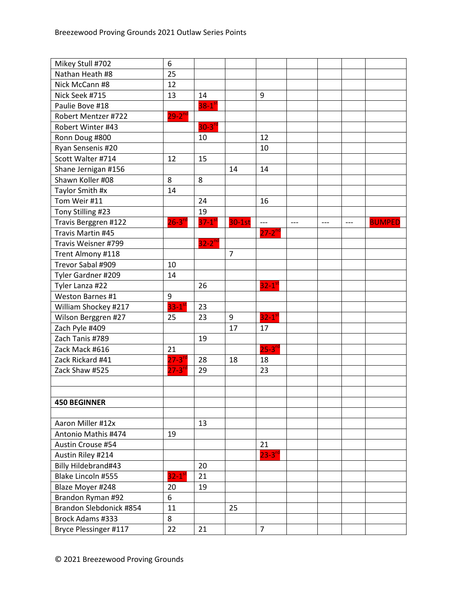| Mikey Stull #702        | 6                    |                        |                |                        |       |       |       |               |
|-------------------------|----------------------|------------------------|----------------|------------------------|-------|-------|-------|---------------|
| Nathan Heath #8         | 25                   |                        |                |                        |       |       |       |               |
| Nick McCann #8          | 12                   |                        |                |                        |       |       |       |               |
| Nick Seek #715          | 13                   | 14                     |                | $\boldsymbol{9}$       |       |       |       |               |
| Paulie Bove #18         |                      | $38 - 1$ <sup>st</sup> |                |                        |       |       |       |               |
| Robert Mentzer #722     | $29 - 2^{nd}$        |                        |                |                        |       |       |       |               |
| Robert Winter #43       |                      | $30-3$ <sup>rd</sup>   |                |                        |       |       |       |               |
| Ronn Doug #800          |                      | 10                     |                | 12                     |       |       |       |               |
| Ryan Sensenis #20       |                      |                        |                | 10                     |       |       |       |               |
| Scott Walter #714       | 12                   | 15                     |                |                        |       |       |       |               |
| Shane Jernigan #156     |                      |                        | 14             | 14                     |       |       |       |               |
| Shawn Koller #08        | 8                    | 8                      |                |                        |       |       |       |               |
| Taylor Smith #x         | 14                   |                        |                |                        |       |       |       |               |
| Tom Weir #11            |                      | 24                     |                | 16                     |       |       |       |               |
| Tony Stilling #23       |                      | 19                     |                |                        |       |       |       |               |
| Travis Berggren #122    | $26-3$ <sup>rd</sup> | $37-1$ <sup>st</sup>   | $30-1st$       | $---$                  | $---$ | $---$ | $---$ | <b>BUMPED</b> |
| Travis Martin #45       |                      |                        |                | $27 - 2^{nd}$          |       |       |       |               |
| Travis Weisner #799     |                      | $32 - 2^{nd}$          |                |                        |       |       |       |               |
| Trent Almony #118       |                      |                        | $\overline{7}$ |                        |       |       |       |               |
| Trevor Sabal #909       | 10                   |                        |                |                        |       |       |       |               |
| Tyler Gardner #209      | 14                   |                        |                |                        |       |       |       |               |
| Tyler Lanza #22         |                      | 26                     |                | $32-1$ <sup>st</sup>   |       |       |       |               |
| Weston Barnes #1        | 9                    |                        |                |                        |       |       |       |               |
| William Shockey #217    | $33-1$ <sup>st</sup> | 23                     |                |                        |       |       |       |               |
| Wilson Berggren #27     | 25                   | 23                     | 9              | $32 - 1$ <sup>st</sup> |       |       |       |               |
| Zach Pyle #409          |                      |                        | 17             | 17                     |       |       |       |               |
| Zach Tanis #789         |                      | 19                     |                |                        |       |       |       |               |
| Zack Mack #616          | 21                   |                        |                | $25 - 3^{r}$           |       |       |       |               |
| Zack Rickard #41        | $27 - 3^{rc}$        | 28                     | 18             | 18                     |       |       |       |               |
| Zack Shaw #525          | $27 - 3^{rd}$        | 29                     |                | 23                     |       |       |       |               |
|                         |                      |                        |                |                        |       |       |       |               |
|                         |                      |                        |                |                        |       |       |       |               |
| <b>450 BEGINNER</b>     |                      |                        |                |                        |       |       |       |               |
|                         |                      |                        |                |                        |       |       |       |               |
| Aaron Miller #12x       |                      | 13                     |                |                        |       |       |       |               |
| Antonio Mathis #474     | 19                   |                        |                |                        |       |       |       |               |
| Austin Crouse #54       |                      |                        |                | 21                     |       |       |       |               |
| Austin Riley #214       |                      |                        |                | $23 - 3^{n}$           |       |       |       |               |
| Billy Hildebrand#43     |                      | 20                     |                |                        |       |       |       |               |
| Blake Lincoln #555      | $32-1$ <sup>st</sup> | 21                     |                |                        |       |       |       |               |
| Blaze Moyer #248        | 20                   | 19                     |                |                        |       |       |       |               |
| Brandon Ryman #92       | 6                    |                        |                |                        |       |       |       |               |
| Brandon Slebdonick #854 | 11                   |                        | 25             |                        |       |       |       |               |
| <b>Brock Adams #333</b> | 8                    |                        |                |                        |       |       |       |               |
| Bryce Plessinger #117   | 22                   | 21                     |                | $\overline{7}$         |       |       |       |               |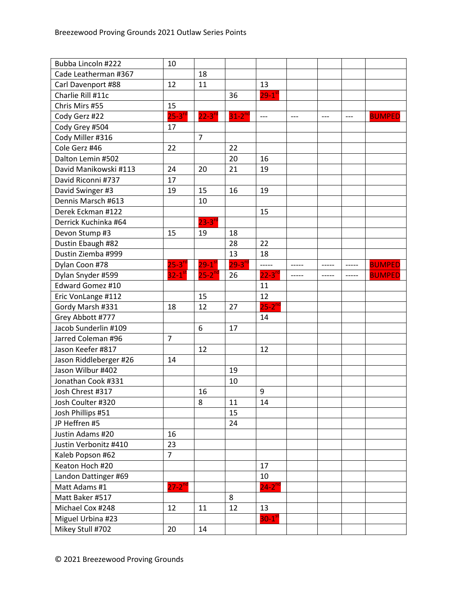| Bubba Lincoln #222     | 10                   |                        |                      |                      |       |       |       |               |
|------------------------|----------------------|------------------------|----------------------|----------------------|-------|-------|-------|---------------|
| Cade Leatherman #367   |                      | 18                     |                      |                      |       |       |       |               |
| Carl Davenport #88     | 12                   | 11                     |                      | 13                   |       |       |       |               |
| Charlie Rill #11c      |                      |                        | 36                   | $29-1$ <sup>st</sup> |       |       |       |               |
| Chris Mirs #55         | 15                   |                        |                      |                      |       |       |       |               |
| Cody Gerz #22          | $25 - 3^{rd}$        | $22 - 3^{10}$          | $31-2$ <sup>nd</sup> | $---$                | $---$ | $---$ | $---$ | <b>BUMPED</b> |
| Cody Grey #504         | 17                   |                        |                      |                      |       |       |       |               |
| Cody Miller #316       |                      | $\overline{7}$         |                      |                      |       |       |       |               |
| Cole Gerz #46          | 22                   |                        | 22                   |                      |       |       |       |               |
| Dalton Lemin #502      |                      |                        | 20                   | 16                   |       |       |       |               |
| David Manikowski #113  | 24                   | 20                     | 21                   | 19                   |       |       |       |               |
| David Riconni #737     | 17                   |                        |                      |                      |       |       |       |               |
| David Swinger #3       | 19                   | 15                     | 16                   | 19                   |       |       |       |               |
| Dennis Marsch #613     |                      | 10                     |                      |                      |       |       |       |               |
| Derek Eckman #122      |                      |                        |                      | 15                   |       |       |       |               |
| Derrick Kuchinka #64   |                      | $23 - 3$ <sup>rd</sup> |                      |                      |       |       |       |               |
| Devon Stump #3         | 15                   | 19                     | 18                   |                      |       |       |       |               |
| Dustin Ebaugh #82      |                      |                        | 28                   | 22                   |       |       |       |               |
| Dustin Ziemba #999     |                      |                        | 13                   | 18                   |       |       |       |               |
| Dylan Coon #78         | $25-3$ <sup>rd</sup> | $29 - 1$ <sup>st</sup> | $29 - 3^{rc}$        | -----                | ----- | ----- | ----- | <b>BUMPED</b> |
| Dylan Snyder #599      | $32-1$ <sup>s</sup>  | $25 - 2^{nd}$          | 26                   | $22 - 3n$            | ----- | ----- | ----- | <b>BUMPED</b> |
| Edward Gomez #10       |                      |                        |                      | 11                   |       |       |       |               |
| Eric VonLange #112     |                      | 15                     |                      | 12                   |       |       |       |               |
| Gordy Marsh #331       | 18                   | 12                     | 27                   | $25-2^{nd}$          |       |       |       |               |
| Grey Abbott #777       |                      |                        |                      | 14                   |       |       |       |               |
| Jacob Sunderlin #109   |                      | 6                      | 17                   |                      |       |       |       |               |
| Jarred Coleman #96     | $\overline{7}$       |                        |                      |                      |       |       |       |               |
| Jason Keefer #817      |                      | 12                     |                      | 12                   |       |       |       |               |
| Jason Riddleberger #26 | 14                   |                        |                      |                      |       |       |       |               |
| Jason Wilbur #402      |                      |                        | 19                   |                      |       |       |       |               |
| Jonathan Cook #331     |                      |                        | 10                   |                      |       |       |       |               |
| Josh Chrest #317       |                      | 16                     |                      | $\boldsymbol{9}$     |       |       |       |               |
| Josh Coulter #320      |                      | 8                      | 11                   | 14                   |       |       |       |               |
| Josh Phillips #51      |                      |                        | 15                   |                      |       |       |       |               |
| JP Heffren #5          |                      |                        | 24                   |                      |       |       |       |               |
| Justin Adams #20       | 16                   |                        |                      |                      |       |       |       |               |
| Justin Verbonitz #410  | 23                   |                        |                      |                      |       |       |       |               |
| Kaleb Popson #62       | $\overline{7}$       |                        |                      |                      |       |       |       |               |
| Keaton Hoch #20        |                      |                        |                      | 17                   |       |       |       |               |
| Landon Dattinger #69   |                      |                        |                      | 10                   |       |       |       |               |
| Matt Adams #1          | $27 - 2^{nd}$        |                        |                      | $24 - 2^{nd}$        |       |       |       |               |
| Matt Baker #517        |                      |                        | 8                    |                      |       |       |       |               |
| Michael Cox #248       | 12                   | 11                     | 12                   | 13                   |       |       |       |               |
| Miguel Urbina #23      |                      |                        |                      | $30-1$ <sup>st</sup> |       |       |       |               |
| Mikey Stull #702       | 20                   | 14                     |                      |                      |       |       |       |               |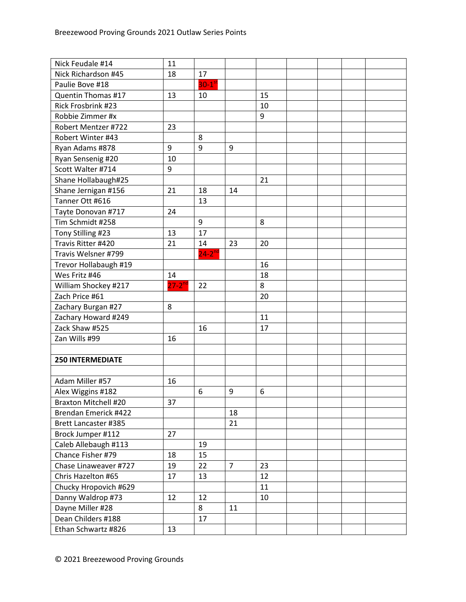| Nick Feudale #14<br>11                                    |  |
|-----------------------------------------------------------|--|
| Nick Richardson #45<br>18<br>17                           |  |
| $30-1$ <sup>st</sup><br>Paulie Bove #18                   |  |
| Quentin Thomas #17<br>13<br>10<br>15                      |  |
| Rick Frosbrink #23<br>10                                  |  |
| Robbie Zimmer #x<br>9                                     |  |
| Robert Mentzer #722<br>23                                 |  |
| Robert Winter #43<br>8                                    |  |
| 9<br>9<br>Ryan Adams #878<br>9                            |  |
| Ryan Sensenig #20<br>10                                   |  |
| Scott Walter #714<br>9                                    |  |
| Shane Hollabaugh#25<br>21                                 |  |
| Shane Jernigan #156<br>21<br>18<br>14                     |  |
| Tanner Ott #616<br>13                                     |  |
| Tayte Donovan #717<br>24                                  |  |
| Tim Schmidt #258<br>9<br>8                                |  |
| Tony Stilling #23<br>17<br>13                             |  |
| Travis Ritter #420<br>21<br>23<br>14<br>20                |  |
| $24 - 2^{nd}$<br>Travis Welsner #799                      |  |
| Trevor Hollabaugh #19<br>16                               |  |
| Wes Fritz #46<br>18<br>14                                 |  |
| $27-2^{nd}$<br>8<br>William Shockey #217<br>22            |  |
| Zach Price #61<br>20                                      |  |
| Zachary Burgan #27<br>8                                   |  |
| Zachary Howard #249<br>11                                 |  |
| Zack Shaw #525<br>16<br>17                                |  |
| Zan Wills #99<br>16                                       |  |
|                                                           |  |
| <b>250 INTERMEDIATE</b>                                   |  |
|                                                           |  |
| Adam Miller #57<br>16                                     |  |
| 6<br>9<br>6<br>Alex Wiggins #182                          |  |
| <b>Braxton Mitchell #20</b><br>37                         |  |
| Brendan Emerick #422<br>18                                |  |
| 21<br><b>Brett Lancaster #385</b>                         |  |
| Brock Jumper #112<br>27                                   |  |
| Caleb Allebaugh #113<br>19                                |  |
| Chance Fisher #79<br>18<br>15                             |  |
| Chase Linaweaver #727<br>19<br>22<br>$\overline{7}$<br>23 |  |
| Chris Hazelton #65<br>12<br>17<br>13                      |  |
| Chucky Hropovich #629<br>11                               |  |
| Danny Waldrop #73<br>12<br>12<br>10                       |  |
| Dayne Miller #28<br>8<br>11                               |  |
| Dean Childers #188<br>17                                  |  |
| Ethan Schwartz #826<br>13                                 |  |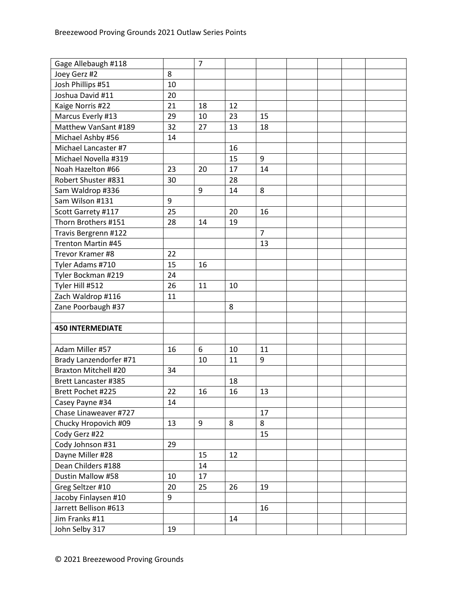| Gage Allebaugh #118         |    | $\overline{7}$ |    |                |  |  |
|-----------------------------|----|----------------|----|----------------|--|--|
| Joey Gerz #2                | 8  |                |    |                |  |  |
| Josh Phillips #51           | 10 |                |    |                |  |  |
| Joshua David #11            | 20 |                |    |                |  |  |
| Kaige Norris #22            | 21 | 18             | 12 |                |  |  |
| Marcus Everly #13           | 29 | 10             | 23 | 15             |  |  |
| Matthew VanSant #189        | 32 | 27             | 13 | 18             |  |  |
| Michael Ashby #56           | 14 |                |    |                |  |  |
| Michael Lancaster #7        |    |                | 16 |                |  |  |
| Michael Novella #319        |    |                | 15 | 9              |  |  |
| Noah Hazelton #66           | 23 | 20             | 17 | 14             |  |  |
| Robert Shuster #831         | 30 |                | 28 |                |  |  |
| Sam Waldrop #336            |    | 9              | 14 | 8              |  |  |
| Sam Wilson #131             | 9  |                |    |                |  |  |
| Scott Garrety #117          | 25 |                | 20 | 16             |  |  |
| Thorn Brothers #151         | 28 | 14             | 19 |                |  |  |
| Travis Bergrenn #122        |    |                |    | $\overline{7}$ |  |  |
| <b>Trenton Martin #45</b>   |    |                |    | 13             |  |  |
| Trevor Kramer #8            | 22 |                |    |                |  |  |
| Tyler Adams #710            | 15 | 16             |    |                |  |  |
| Tyler Bockman #219          | 24 |                |    |                |  |  |
| Tyler Hill #512             | 26 | 11             | 10 |                |  |  |
| Zach Waldrop #116           | 11 |                |    |                |  |  |
| Zane Poorbaugh #37          |    |                | 8  |                |  |  |
|                             |    |                |    |                |  |  |
| <b>450 INTERMEDIATE</b>     |    |                |    |                |  |  |
|                             |    |                |    |                |  |  |
| Adam Miller #57             | 16 | 6              | 10 | 11             |  |  |
| Brady Lanzendorfer #71      |    | 10             | 11 | 9              |  |  |
| <b>Braxton Mitchell #20</b> | 34 |                |    |                |  |  |
| <b>Brett Lancaster #385</b> |    |                | 18 |                |  |  |
| Brett Pochet #225           | 22 | 16             | 16 | 13             |  |  |
| Casey Payne #34             | 14 |                |    |                |  |  |
| Chase Linaweaver #727       |    |                |    | 17             |  |  |
| Chucky Hropovich #09        | 13 | 9              | 8  | 8              |  |  |
| Cody Gerz #22               |    |                |    | 15             |  |  |
| Cody Johnson #31            | 29 |                |    |                |  |  |
| Dayne Miller #28            |    | 15             | 12 |                |  |  |
| Dean Childers #188          |    | 14             |    |                |  |  |
| Dustin Mallow #58           | 10 | 17             |    |                |  |  |
| Greg Seltzer #10            | 20 | 25             | 26 | 19             |  |  |
| Jacoby Finlaysen #10        | 9  |                |    |                |  |  |
| Jarrett Bellison #613       |    |                |    | 16             |  |  |
| Jim Franks #11              |    |                | 14 |                |  |  |
| John Selby 317              | 19 |                |    |                |  |  |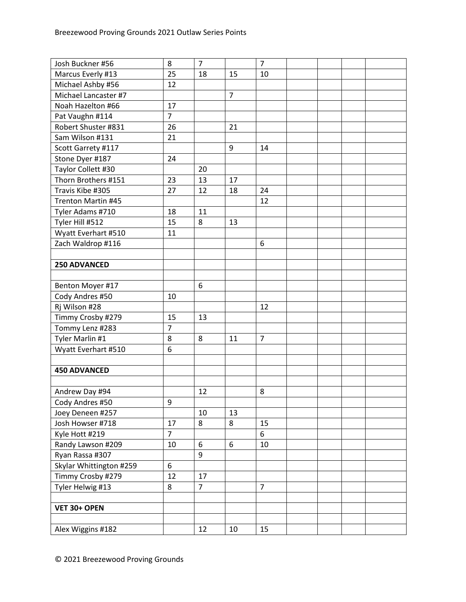| Josh Buckner #56          | 8              | $\overline{7}$ |                | $\overline{7}$ |  |  |
|---------------------------|----------------|----------------|----------------|----------------|--|--|
| Marcus Everly #13         | 25             | 18             | 15             | 10             |  |  |
| Michael Ashby #56         | 12             |                |                |                |  |  |
| Michael Lancaster #7      |                |                | $\overline{7}$ |                |  |  |
| Noah Hazelton #66         | 17             |                |                |                |  |  |
| Pat Vaughn #114           | $\overline{7}$ |                |                |                |  |  |
| Robert Shuster #831       | 26             |                | 21             |                |  |  |
| Sam Wilson #131           | 21             |                |                |                |  |  |
| Scott Garrety #117        |                |                | 9              | 14             |  |  |
| Stone Dyer #187           | 24             |                |                |                |  |  |
| Taylor Collett #30        |                | 20             |                |                |  |  |
| Thorn Brothers #151       | 23             | 13             | 17             |                |  |  |
| Travis Kibe #305          | 27             | 12             | 18             | 24             |  |  |
| <b>Trenton Martin #45</b> |                |                |                | 12             |  |  |
| Tyler Adams #710          | 18             | 11             |                |                |  |  |
| Tyler Hill #512           | 15             | 8              | 13             |                |  |  |
| Wyatt Everhart #510       | 11             |                |                |                |  |  |
| Zach Waldrop #116         |                |                |                | 6              |  |  |
|                           |                |                |                |                |  |  |
| 250 ADVANCED              |                |                |                |                |  |  |
|                           |                |                |                |                |  |  |
| Benton Moyer #17          |                | 6              |                |                |  |  |
| Cody Andres #50           | 10             |                |                |                |  |  |
| Rj Wilson #28             |                |                |                | 12             |  |  |
| Timmy Crosby #279         | 15             | 13             |                |                |  |  |
| Tommy Lenz #283           | $\overline{7}$ |                |                |                |  |  |
| Tyler Marlin #1           | 8              | 8              | 11             | $\overline{7}$ |  |  |
| Wyatt Everhart #510       | 6              |                |                |                |  |  |
|                           |                |                |                |                |  |  |
| <b>450 ADVANCED</b>       |                |                |                |                |  |  |
|                           |                |                |                |                |  |  |
| Andrew Day #94            |                | 12             |                | 8              |  |  |
| Cody Andres #50           | 9              |                |                |                |  |  |
| Joey Deneen #257          |                | 10             | 13             |                |  |  |
| Josh Howser #718          | 17             | 8              | 8              | 15             |  |  |
| Kyle Hott #219            | $\overline{7}$ |                |                | 6              |  |  |
| Randy Lawson #209         | 10             | 6              | 6              | 10             |  |  |
| Ryan Rassa #307           |                | 9              |                |                |  |  |
| Skylar Whittington #259   | 6              |                |                |                |  |  |
| Timmy Crosby #279         | 12             | 17             |                |                |  |  |
| Tyler Helwig #13          | 8              | $\overline{7}$ |                | $\overline{7}$ |  |  |
|                           |                |                |                |                |  |  |
| VET 30+ OPEN              |                |                |                |                |  |  |
|                           |                |                |                |                |  |  |
| Alex Wiggins #182         |                | 12             | 10             | 15             |  |  |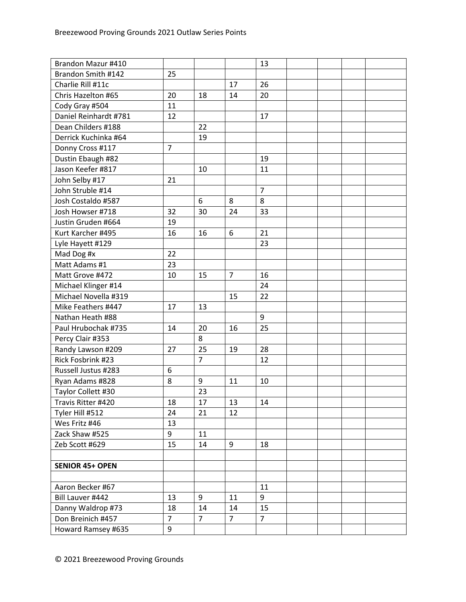| Brandon Mazur #410     |                |                |                | 13             |  |  |
|------------------------|----------------|----------------|----------------|----------------|--|--|
| Brandon Smith #142     | 25             |                |                |                |  |  |
| Charlie Rill #11c      |                |                | 17             | 26             |  |  |
| Chris Hazelton #65     | 20             | 18             | 14             | 20             |  |  |
| Cody Gray #504         | 11             |                |                |                |  |  |
| Daniel Reinhardt #781  | 12             |                |                | 17             |  |  |
| Dean Childers #188     |                | 22             |                |                |  |  |
| Derrick Kuchinka #64   |                | 19             |                |                |  |  |
| Donny Cross #117       | $\overline{7}$ |                |                |                |  |  |
| Dustin Ebaugh #82      |                |                |                | 19             |  |  |
| Jason Keefer #817      |                | 10             |                | 11             |  |  |
| John Selby #17         | 21             |                |                |                |  |  |
| John Struble #14       |                |                |                | $\overline{7}$ |  |  |
| Josh Costaldo #587     |                | 6              | 8              | 8              |  |  |
| Josh Howser #718       | 32             | 30             | 24             | 33             |  |  |
| Justin Gruden #664     | 19             |                |                |                |  |  |
| Kurt Karcher #495      | 16             | 16             | 6              | 21             |  |  |
| Lyle Hayett #129       |                |                |                | 23             |  |  |
| Mad Dog #x             | 22             |                |                |                |  |  |
| Matt Adams #1          | 23             |                |                |                |  |  |
| Matt Grove #472        | 10             | 15             | $\overline{7}$ | 16             |  |  |
| Michael Klinger #14    |                |                |                | 24             |  |  |
| Michael Novella #319   |                |                | 15             | 22             |  |  |
| Mike Feathers #447     | 17             | 13             |                |                |  |  |
| Nathan Heath #88       |                |                |                | 9              |  |  |
| Paul Hrubochak #735    | 14             | 20             | 16             | 25             |  |  |
| Percy Clair #353       |                | 8              |                |                |  |  |
| Randy Lawson #209      | 27             | 25             | 19             | 28             |  |  |
| Rick Fosbrink #23      |                | $\overline{7}$ |                | 12             |  |  |
| Russell Justus #283    | 6              |                |                |                |  |  |
| Ryan Adams #828        | 8              | 9              | 11             | 10             |  |  |
| Taylor Collett #30     |                | 23             |                |                |  |  |
| Travis Ritter #420     | 18             | 17             | 13             | 14             |  |  |
| Tyler Hill #512        | 24             | 21             | 12             |                |  |  |
| Wes Fritz #46          | 13             |                |                |                |  |  |
| Zack Shaw #525         | 9              | 11             |                |                |  |  |
| Zeb Scott #629         | 15             | 14             | 9              | 18             |  |  |
|                        |                |                |                |                |  |  |
| <b>SENIOR 45+ OPEN</b> |                |                |                |                |  |  |
|                        |                |                |                |                |  |  |
| Aaron Becker #67       |                |                |                | 11             |  |  |
| Bill Lauver #442       | 13             | 9              | 11             | 9              |  |  |
| Danny Waldrop #73      | 18             | 14             | 14             | 15             |  |  |
| Don Breinich #457      | $\overline{7}$ | $\overline{7}$ | $\overline{7}$ | $\overline{7}$ |  |  |
| Howard Ramsey #635     | 9              |                |                |                |  |  |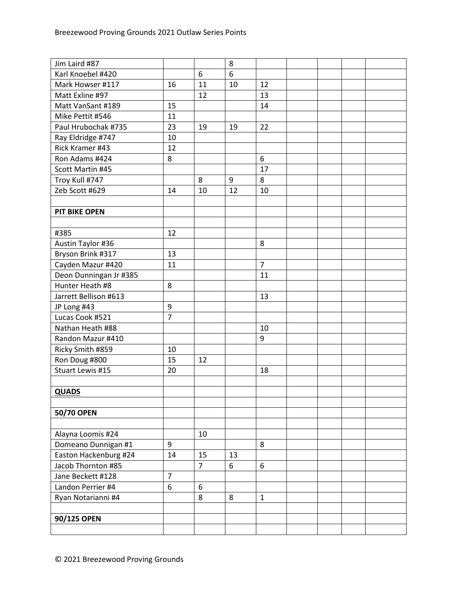| Jim Laird #87          |                |                | 8  |                |  |  |
|------------------------|----------------|----------------|----|----------------|--|--|
| Karl Knoebel #420      |                | 6              | 6  |                |  |  |
| Mark Howser #117       | 16             | 11             | 10 | 12             |  |  |
| Matt Exline #97        |                | 12             |    | 13             |  |  |
| Matt VanSant #189      | 15             |                |    | 14             |  |  |
| Mike Pettit #546       | 11             |                |    |                |  |  |
| Paul Hrubochak #735    | 23             | 19             | 19 | 22             |  |  |
| Ray Eldridge #747      | 10             |                |    |                |  |  |
| Rick Kramer #43        | 12             |                |    |                |  |  |
| Ron Adams #424         | 8              |                |    | 6              |  |  |
| Scott Martin #45       |                |                |    | 17             |  |  |
| Troy Kull #747         |                | 8              | 9  | 8              |  |  |
| Zeb Scott #629         | 14             | 10             | 12 | 10             |  |  |
|                        |                |                |    |                |  |  |
| <b>PIT BIKE OPEN</b>   |                |                |    |                |  |  |
|                        |                |                |    |                |  |  |
| #385                   | 12             |                |    |                |  |  |
| Austin Taylor #36      |                |                |    | 8              |  |  |
| Bryson Brink #317      | 13             |                |    |                |  |  |
| Cayden Mazur #420      | 11             |                |    | $\overline{7}$ |  |  |
| Deon Dunningan Jr #385 |                |                |    | 11             |  |  |
| Hunter Heath #8        | 8              |                |    |                |  |  |
| Jarrett Bellison #613  |                |                |    | 13             |  |  |
| JP Long #43            | 9              |                |    |                |  |  |
| Lucas Cook #521        | $\overline{7}$ |                |    |                |  |  |
| Nathan Heath #88       |                |                |    | 10             |  |  |
| Randon Mazur #410      |                |                |    | 9              |  |  |
| Ricky Smith #859       | 10             |                |    |                |  |  |
| Ron Doug #800          | 15             | 12             |    |                |  |  |
| Stuart Lewis #15       | 20             |                |    | 18             |  |  |
|                        |                |                |    |                |  |  |
| <b>QUADS</b>           |                |                |    |                |  |  |
|                        |                |                |    |                |  |  |
| 50/70 OPEN             |                |                |    |                |  |  |
|                        |                |                |    |                |  |  |
| Alayna Loomis #24      |                | 10             |    |                |  |  |
| Domeano Dunnigan #1    | 9              |                |    | 8              |  |  |
| Easton Hackenburg #24  | 14             | 15             | 13 |                |  |  |
| Jacob Thornton #85     |                | $\overline{7}$ | 6  | 6              |  |  |
| Jane Beckett #128      | $\overline{7}$ |                |    |                |  |  |
| Landon Perrier #4      | 6              | 6              |    |                |  |  |
| Ryan Notarianni #4     |                | 8              | 8  | $\mathbf{1}$   |  |  |
|                        |                |                |    |                |  |  |
| 90/125 OPEN            |                |                |    |                |  |  |
|                        |                |                |    |                |  |  |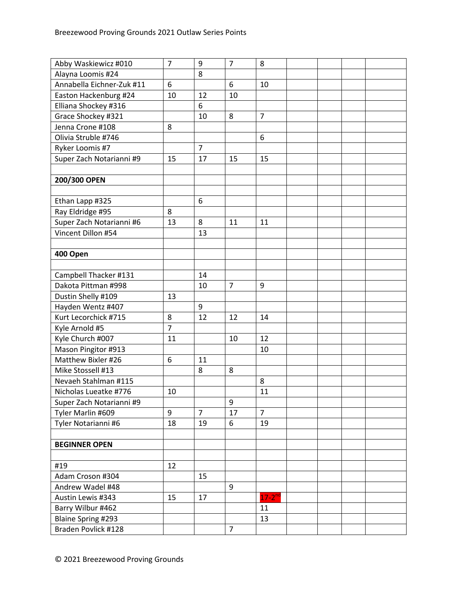| Abby Waskiewicz #010      | $\overline{7}$ | 9              | $\overline{7}$ | 8              |  |  |
|---------------------------|----------------|----------------|----------------|----------------|--|--|
| Alayna Loomis #24         |                | 8              |                |                |  |  |
| Annabella Eichner-Zuk #11 | 6              |                | 6              | 10             |  |  |
| Easton Hackenburg #24     | 10             | 12             | 10             |                |  |  |
| Elliana Shockey #316      |                | 6              |                |                |  |  |
| Grace Shockey #321        |                | 10             | 8              | $\overline{7}$ |  |  |
| Jenna Crone #108          | 8              |                |                |                |  |  |
| Olivia Struble #746       |                |                |                | 6              |  |  |
| Ryker Loomis #7           |                | $\overline{7}$ |                |                |  |  |
| Super Zach Notarianni #9  | 15             | 17             | 15             | 15             |  |  |
|                           |                |                |                |                |  |  |
| 200/300 OPEN              |                |                |                |                |  |  |
|                           |                |                |                |                |  |  |
| Ethan Lapp #325           |                | 6              |                |                |  |  |
| Ray Eldridge #95          | 8              |                |                |                |  |  |
| Super Zach Notarianni #6  | 13             | 8              | 11             | 11             |  |  |
| Vincent Dillon #54        |                | 13             |                |                |  |  |
|                           |                |                |                |                |  |  |
| 400 Open                  |                |                |                |                |  |  |
|                           |                |                |                |                |  |  |
| Campbell Thacker #131     |                | 14             |                |                |  |  |
| Dakota Pittman #998       |                | 10             | $\overline{7}$ | 9              |  |  |
| Dustin Shelly #109        | 13             |                |                |                |  |  |
| Hayden Wentz #407         |                | 9              |                |                |  |  |
| Kurt Lecorchick #715      | 8              | 12             | 12             | 14             |  |  |
| Kyle Arnold #5            | $\overline{7}$ |                |                |                |  |  |
| Kyle Church #007          | 11             |                | 10             | 12             |  |  |
| Mason Pingitor #913       |                |                |                | 10             |  |  |
| Matthew Bixler #26        | 6              | 11             |                |                |  |  |
| Mike Stossell #13         |                | 8              | 8              |                |  |  |
| Nevaeh Stahlman #115      |                |                |                | 8              |  |  |
| Nicholas Lueatke #776     | 10             |                |                | 11             |  |  |
| Super Zach Notarianni #9  |                |                | 9              |                |  |  |
| Tyler Marlin #609         | 9              | $\overline{7}$ | 17             | $\overline{7}$ |  |  |
| Tyler Notarianni #6       | 18             | 19             | 6              | 19             |  |  |
|                           |                |                |                |                |  |  |
| <b>BEGINNER OPEN</b>      |                |                |                |                |  |  |
|                           |                |                |                |                |  |  |
| #19                       | 12             |                |                |                |  |  |
| Adam Croson #304          |                | 15             |                |                |  |  |
| Andrew Wadel #48          |                |                | 9              |                |  |  |
| Austin Lewis #343         | 15             | 17             |                | $17-2^{nd}$    |  |  |
| Barry Wilbur #462         |                |                |                | 11             |  |  |
| <b>Blaine Spring #293</b> |                |                |                | 13             |  |  |
| Braden Povlick #128       |                |                | $\overline{7}$ |                |  |  |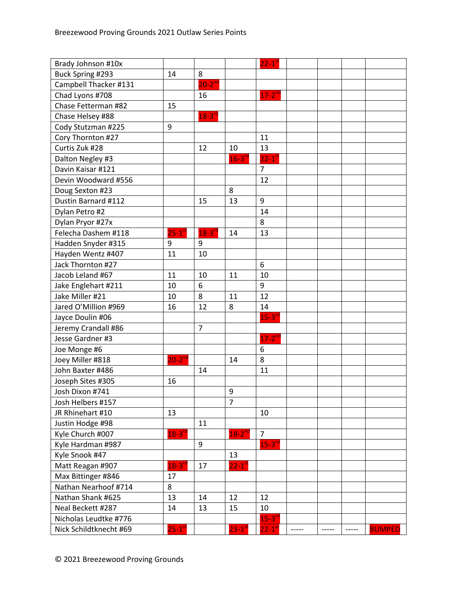| Brady Johnson #10x     |                      |                      |                        | $22 - 1$ <sup>st</sup> |       |       |       |               |
|------------------------|----------------------|----------------------|------------------------|------------------------|-------|-------|-------|---------------|
| Buck Spring #293       | 14                   | 8                    |                        |                        |       |       |       |               |
| Campbell Thacker #131  |                      | $20-2^{nd}$          |                        |                        |       |       |       |               |
| Chad Lyons #708        |                      | 16                   |                        | $17-2$ <sup>nd</sup>   |       |       |       |               |
| Chase Fetterman #82    | 15                   |                      |                        |                        |       |       |       |               |
| Chase Helsey #88       |                      | $18-3^{rd}$          |                        |                        |       |       |       |               |
| Cody Stutzman #225     | 9                    |                      |                        |                        |       |       |       |               |
| Cory Thornton #27      |                      |                      |                        | 11                     |       |       |       |               |
| Curtis Zuk #28         |                      | 12                   | 10                     | 13                     |       |       |       |               |
| Dalton Negley #3       |                      |                      | $16 - 3^{r c}$         | $22-1$ <sup>st</sup>   |       |       |       |               |
| Davin Kaisar #121      |                      |                      |                        | $7\overline{ }$        |       |       |       |               |
| Devin Woodward #556    |                      |                      |                        | 12                     |       |       |       |               |
| Doug Sexton #23        |                      |                      | 8                      |                        |       |       |       |               |
| Dustin Barnard #112    |                      | 15                   | 13                     | 9                      |       |       |       |               |
| Dylan Petro #2         |                      |                      |                        | 14                     |       |       |       |               |
| Dylan Pryor #27x       |                      |                      |                        | 8                      |       |       |       |               |
| Felecha Dashem #118    | $25-1$ <sup>st</sup> | $18-3$ <sup>rc</sup> | 14                     | 13                     |       |       |       |               |
| Hadden Snyder #315     | 9                    | 9                    |                        |                        |       |       |       |               |
| Hayden Wentz #407      | 11                   | 10                   |                        |                        |       |       |       |               |
| Jack Thornton #27      |                      |                      |                        | 6                      |       |       |       |               |
| Jacob Leland #67       | 11                   | 10                   | 11                     | 10                     |       |       |       |               |
| Jake Englehart #211    | 10                   | 6                    |                        | 9                      |       |       |       |               |
| Jake Miller #21        | 10                   | 8                    | 11                     | 12                     |       |       |       |               |
| Jared O'Million #969   | 16                   | 12                   | 8                      | 14                     |       |       |       |               |
| Jayce Doulin #06       |                      |                      |                        | $15-3^{rd}$            |       |       |       |               |
| Jeremy Crandall #86    |                      | $\overline{7}$       |                        |                        |       |       |       |               |
| Jesse Gardner #3       |                      |                      |                        | $17-2^{nd}$            |       |       |       |               |
| Joe Monge #6           |                      |                      |                        | 6                      |       |       |       |               |
| Joey Miller #818       | $20-2^{nd}$          |                      | 14                     | 8                      |       |       |       |               |
| John Baxter #486       |                      | 14                   |                        | 11                     |       |       |       |               |
| Joseph Sites #305      | 16                   |                      |                        |                        |       |       |       |               |
| Josh Dixon #741        |                      |                      | 9                      |                        |       |       |       |               |
| Josh Helbers #157      |                      |                      | 7                      |                        |       |       |       |               |
| JR Rhinehart #10       | 13                   |                      |                        | 10                     |       |       |       |               |
| Justin Hodge #98       |                      | 11                   |                        |                        |       |       |       |               |
| Kyle Church #007       | $18 - 3^{rd}$        |                      | $18-2^{nd}$            | $\overline{7}$         |       |       |       |               |
| Kyle Hardman #987      |                      | 9                    |                        | $15-3$ <sup>rd</sup>   |       |       |       |               |
| Kyle Snook #47         |                      |                      | 13                     |                        |       |       |       |               |
| Matt Reagan #907       | $18-3$ <sup>rd</sup> | 17                   | $22 - 1$ <sup>st</sup> |                        |       |       |       |               |
| Max Bittinger #846     | 17                   |                      |                        |                        |       |       |       |               |
| Nathan Nearhoof #714   | 8                    |                      |                        |                        |       |       |       |               |
| Nathan Shank #625      | 13                   | 14                   | 12                     | 12                     |       |       |       |               |
| Neal Beckett #287      | 14                   | 13                   | 15                     | 10                     |       |       |       |               |
| Nicholas Leudtke #776  |                      |                      |                        | $15 - 3^{n}$           |       |       |       |               |
| Nick Schildtknecht #69 | $25-1$ <sup>st</sup> |                      | $23 - 1$ <sup>st</sup> | $22-1$ <sup>s</sup>    | ----- | ----- | ----- | <b>BUMPED</b> |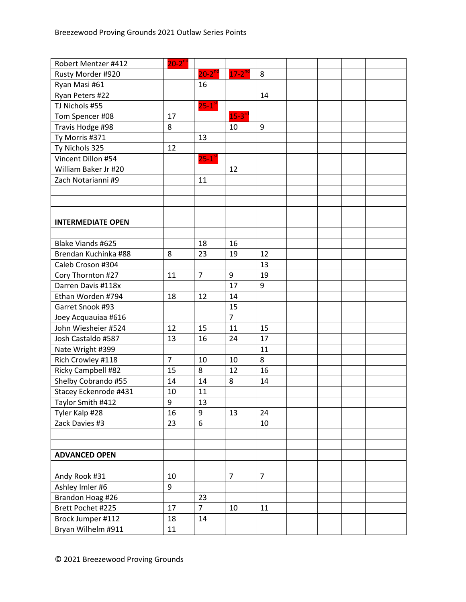| Robert Mentzer #412      | $20-2^{nd}$    |                |                      |                |  |  |
|--------------------------|----------------|----------------|----------------------|----------------|--|--|
| Rusty Morder #920        |                | $20-2^{nd}$    | $17 - 2^{nd}$        | 8              |  |  |
| Ryan Masi #61            |                | 16             |                      |                |  |  |
| Ryan Peters #22          |                |                |                      | 14             |  |  |
| TJ Nichols #55           |                | $25 - 1^{s}$   |                      |                |  |  |
| Tom Spencer #08          | 17             |                | $15-3$ <sup>rd</sup> |                |  |  |
| Travis Hodge #98         | 8              |                | 10                   | 9              |  |  |
| Ty Morris #371           |                | 13             |                      |                |  |  |
| Ty Nichols 325           | 12             |                |                      |                |  |  |
| Vincent Dillon #54       |                | $25 - 1^{s}$   |                      |                |  |  |
| William Baker Jr #20     |                |                | 12                   |                |  |  |
| Zach Notarianni #9       |                | 11             |                      |                |  |  |
|                          |                |                |                      |                |  |  |
|                          |                |                |                      |                |  |  |
|                          |                |                |                      |                |  |  |
| <b>INTERMEDIATE OPEN</b> |                |                |                      |                |  |  |
|                          |                |                |                      |                |  |  |
| Blake Viands #625        |                | 18             | 16                   |                |  |  |
| Brendan Kuchinka #88     | 8              | 23             | 19                   | 12             |  |  |
| Caleb Croson #304        |                |                |                      | 13             |  |  |
| Cory Thornton #27        | 11             | $\overline{7}$ | 9                    | 19             |  |  |
| Darren Davis #118x       |                |                | 17                   | 9              |  |  |
| Ethan Worden #794        | 18             | 12             | 14                   |                |  |  |
| Garret Snook #93         |                |                | 15                   |                |  |  |
| Joey Acquauiaa #616      |                |                | $\overline{7}$       |                |  |  |
| John Wiesheier #524      | 12             | 15             | 11                   | 15             |  |  |
| Josh Castaldo #587       | 13             | 16             | 24                   | 17             |  |  |
| Nate Wright #399         |                |                |                      | 11             |  |  |
| Rich Crowley #118        | $\overline{7}$ | 10             | 10                   | 8              |  |  |
| Ricky Campbell #82       | 15             | 8              | 12                   | 16             |  |  |
| Shelby Cobrando #55      | 14             | 14             | 8                    | 14             |  |  |
| Stacey Eckenrode #431    | 10             | 11             |                      |                |  |  |
| Taylor Smith #412        | 9              | 13             |                      |                |  |  |
| Tyler Kalp #28           | 16             | 9              | 13                   | 24             |  |  |
| Zack Davies #3           | 23             | 6              |                      | 10             |  |  |
|                          |                |                |                      |                |  |  |
|                          |                |                |                      |                |  |  |
| <b>ADVANCED OPEN</b>     |                |                |                      |                |  |  |
|                          |                |                |                      |                |  |  |
| Andy Rook #31            | 10             |                | $\overline{7}$       | $\overline{7}$ |  |  |
| Ashley Imler #6          | 9              |                |                      |                |  |  |
| Brandon Hoag #26         |                | 23             |                      |                |  |  |
| Brett Pochet #225        | 17             | $\overline{7}$ | 10                   | 11             |  |  |
| Brock Jumper #112        | 18             | 14             |                      |                |  |  |
| Bryan Wilhelm #911       | 11             |                |                      |                |  |  |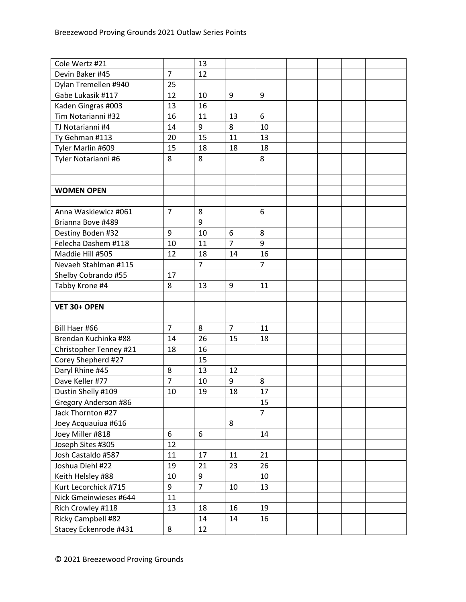| Cole Wertz #21         |                | 13             |                |                |  |  |
|------------------------|----------------|----------------|----------------|----------------|--|--|
| Devin Baker #45        | $\overline{7}$ | 12             |                |                |  |  |
| Dylan Tremellen #940   | 25             |                |                |                |  |  |
| Gabe Lukasik #117      | 12             | 10             | 9              | 9              |  |  |
| Kaden Gingras #003     | 13             | 16             |                |                |  |  |
| Tim Notarianni #32     | 16             | 11             | 13             | 6              |  |  |
| TJ Notarianni #4       | 14             | 9              | 8              | 10             |  |  |
| Ty Gehman #113         | 20             | 15             | 11             | 13             |  |  |
| Tyler Marlin #609      | 15             | 18             | 18             | 18             |  |  |
| Tyler Notarianni #6    | 8              | 8              |                | 8              |  |  |
|                        |                |                |                |                |  |  |
|                        |                |                |                |                |  |  |
| <b>WOMEN OPEN</b>      |                |                |                |                |  |  |
|                        |                |                |                |                |  |  |
| Anna Waskiewicz #061   | $\overline{7}$ | 8              |                | 6              |  |  |
| Brianna Bove #489      |                | 9              |                |                |  |  |
| Destiny Boden #32      | 9              | 10             | 6              | 8              |  |  |
| Felecha Dashem #118    | 10             | 11             | $\overline{7}$ | 9              |  |  |
| Maddie Hill #505       | 12             | 18             | 14             | 16             |  |  |
| Nevaeh Stahlman #115   |                | $\overline{7}$ |                | $\overline{7}$ |  |  |
| Shelby Cobrando #55    | 17             |                |                |                |  |  |
| Tabby Krone #4         | 8              | 13             | 9              | 11             |  |  |
|                        |                |                |                |                |  |  |
| VET 30+ OPEN           |                |                |                |                |  |  |
|                        |                |                |                |                |  |  |
| Bill Haer #66          | $\overline{7}$ | 8              | $\overline{7}$ | 11             |  |  |
| Brendan Kuchinka #88   | 14             | 26             | 15             | 18             |  |  |
| Christopher Tenney #21 | 18             | 16             |                |                |  |  |
| Corey Shepherd #27     |                | 15             |                |                |  |  |
| Daryl Rhine #45        | 8              | 13             | 12             |                |  |  |
| Dave Keller #77        | $\overline{7}$ | 10             | 9              | 8              |  |  |
| Dustin Shelly #109     | 10             | 19             | 18             | 17             |  |  |
| Gregory Anderson #86   |                |                |                | 15             |  |  |
| Jack Thornton #27      |                |                |                | $\overline{7}$ |  |  |
| Joey Acquauiua #616    |                |                | 8              |                |  |  |
| Joey Miller #818       | 6              | 6              |                | 14             |  |  |
| Joseph Sites #305      | 12             |                |                |                |  |  |
| Josh Castaldo #587     | 11             | 17             | 11             | 21             |  |  |
| Joshua Diehl #22       | 19             | 21             | 23             | 26             |  |  |
| Keith Helsley #88      | 10             | 9              |                | 10             |  |  |
| Kurt Lecorchick #715   | 9              | $\overline{7}$ | 10             | 13             |  |  |
| Nick Gmeinwieses #644  | 11             |                |                |                |  |  |
|                        |                |                |                |                |  |  |
| Rich Crowley #118      | 13             | 18             | 16             | 19             |  |  |
| Ricky Campbell #82     |                | 14             | 14             | 16             |  |  |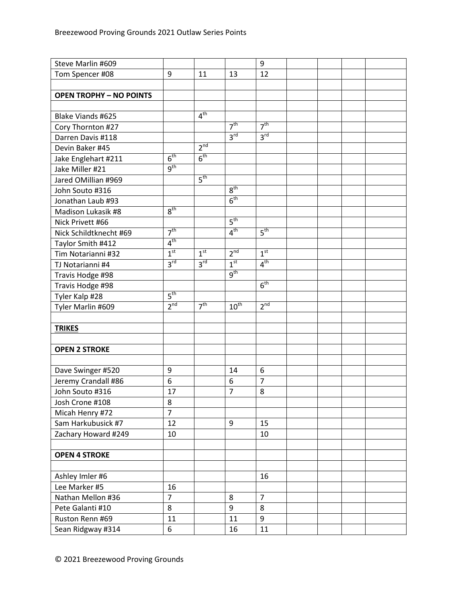| Steve Marlin #609              |                 |                 |                 | 9               |  |  |
|--------------------------------|-----------------|-----------------|-----------------|-----------------|--|--|
| Tom Spencer #08                | 9               | 11              | 13              | 12              |  |  |
|                                |                 |                 |                 |                 |  |  |
| <b>OPEN TROPHY - NO POINTS</b> |                 |                 |                 |                 |  |  |
|                                |                 |                 |                 |                 |  |  |
| Blake Viands #625              |                 | 4 <sup>th</sup> |                 |                 |  |  |
| Cory Thornton #27              |                 |                 | 7 <sup>th</sup> | 7 <sup>th</sup> |  |  |
| Darren Davis #118              |                 |                 | 3 <sup>rd</sup> | 3 <sup>rd</sup> |  |  |
| Devin Baker #45                |                 | 2 <sup>nd</sup> |                 |                 |  |  |
| Jake Englehart #211            | 6 <sup>th</sup> | 6 <sup>th</sup> |                 |                 |  |  |
| Jake Miller #21                | 9 <sup>th</sup> |                 |                 |                 |  |  |
| Jared OMillian #969            |                 | 5 <sup>th</sup> |                 |                 |  |  |
| John Souto #316                |                 |                 | 8 <sup>th</sup> |                 |  |  |
| Jonathan Laub #93              |                 |                 | 6 <sup>th</sup> |                 |  |  |
| Madison Lukasik #8             | 8 <sup>th</sup> |                 |                 |                 |  |  |
| Nick Privett #66               |                 |                 | 5 <sup>th</sup> |                 |  |  |
| Nick Schildtknecht #69         | 7 <sup>th</sup> |                 | 4 <sup>th</sup> | 5 <sup>th</sup> |  |  |
| Taylor Smith #412              | 4 <sup>th</sup> |                 |                 |                 |  |  |
| Tim Notarianni #32             | 1 <sup>st</sup> | 1 <sup>st</sup> | 2 <sup>nd</sup> | 1 <sup>st</sup> |  |  |
| TJ Notarianni #4               | 3 <sup>rd</sup> | 3 <sup>rd</sup> | 1 <sup>st</sup> | 4 <sup>th</sup> |  |  |
| Travis Hodge #98               |                 |                 | 9 <sup>th</sup> |                 |  |  |
| Travis Hodge #98               |                 |                 |                 | 6 <sup>th</sup> |  |  |
| Tyler Kalp #28                 | 5 <sup>th</sup> |                 |                 |                 |  |  |
| Tyler Marlin #609              | 2 <sup>nd</sup> | 7 <sup>th</sup> | $10^{th}$       | 2 <sup>nd</sup> |  |  |
|                                |                 |                 |                 |                 |  |  |
| <b>TRIKES</b>                  |                 |                 |                 |                 |  |  |
|                                |                 |                 |                 |                 |  |  |
| <b>OPEN 2 STROKE</b>           |                 |                 |                 |                 |  |  |
|                                |                 |                 |                 |                 |  |  |
| Dave Swinger #520              | 9               |                 | 14              | 6               |  |  |
| Jeremy Crandall #86            | 6               |                 | 6               | $\overline{7}$  |  |  |
| John Souto #316                | 17              |                 | $\overline{7}$  | 8               |  |  |
| Josh Crone #108                | 8               |                 |                 |                 |  |  |
| Micah Henry #72                | $\overline{7}$  |                 |                 |                 |  |  |
| Sam Harkubusick #7             | 12              |                 | 9               | 15              |  |  |
| Zachary Howard #249            | 10              |                 |                 | 10              |  |  |
|                                |                 |                 |                 |                 |  |  |
| <b>OPEN 4 STROKE</b>           |                 |                 |                 |                 |  |  |
|                                |                 |                 |                 |                 |  |  |
| Ashley Imler #6                |                 |                 |                 | 16              |  |  |
| Lee Marker #5                  | 16              |                 |                 |                 |  |  |
| Nathan Mellon #36              | $\overline{7}$  |                 | 8               | $\overline{7}$  |  |  |
| Pete Galanti #10               | 8               |                 | 9               | 8               |  |  |
| Ruston Renn #69                | 11              |                 | 11              | 9               |  |  |
| Sean Ridgway #314              | 6               |                 | 16              | 11              |  |  |